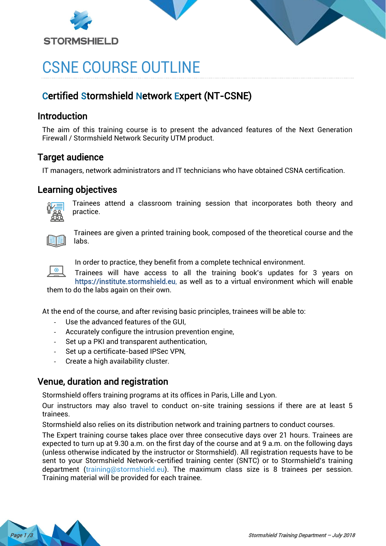



# CSNE COURSE OUTLINE

## Certified Stormshield Network Expert (NT-CSNE)

### Introduction

The aim of this training course is to present the advanced features of the Next Generation Firewall / Stormshield Network Security UTM product.

## Target audience

IT managers, network administrators and IT technicians who have obtained CSNA certification.

### Learning objectives



Trainees attend a classroom training session that incorporates both theory and practice.



Trainees are given a printed training book, composed of the theoretical course and the labs.



In order to practice, they benefit from a complete technical environment.

Trainees will have access to all the training book's updates for 3 years on [https://institute.stormshield.eu,](https://institute.stormshield.eu/) as well as to a virtual environment which will enable them to do the labs again on their own.

At the end of the course, and after revising basic principles, trainees will be able to:

- Use the advanced features of the GUI,
- Accurately configure the intrusion prevention engine,
- Set up a PKI and transparent authentication,
- Set up a certificate-based IPSec VPN,
- Create a high availability cluster.

## Venue, duration and registration

Stormshield offers training programs at its offices in Paris, Lille and Lyon.

Our instructors may also travel to conduct on-site training sessions if there are at least 5 trainees.

Stormshield also relies on its distribution network and training partners to conduct courses.

The Expert training course takes place over three consecutive days over 21 hours. Trainees are expected to turn up at 9.30 a.m. on the first day of the course and at 9 a.m. on the following days (unless otherwise indicated by the instructor or Stormshield). All registration requests have to be sent to your Stormshield Network-certified training center (SNTC) or to Stormshield's training department [\(training@stormshield.eu\)](mailto:training@stormshield.eu). The maximum class size is 8 trainees per session. Training material will be provided for each trainee.

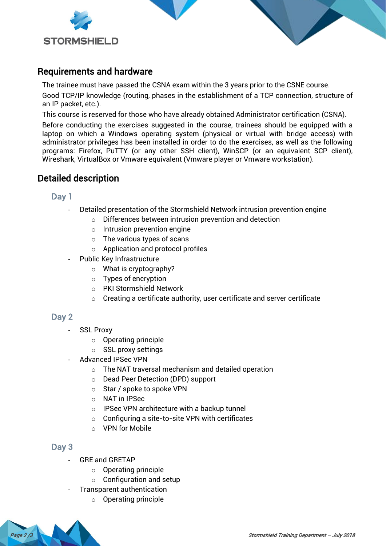



The trainee must have passed the CSNA exam within the 3 years prior to the CSNE course.

Good TCP/IP knowledge (routing, phases in the establishment of a TCP connection, structure of an IP packet, etc.).

This course is reserved for those who have already obtained Administrator certification (CSNA).

Before conducting the exercises suggested in the course, trainees should be equipped with a laptop on which a Windows operating system (physical or virtual with bridge access) with administrator privileges has been installed in order to do the exercises, as well as the following programs: Firefox, PuTTY (or any other SSH client), WinSCP (or an equivalent SCP client), Wireshark, VirtualBox or Vmware equivalent (Vmware player or Vmware workstation).

### Detailed description

#### Day 1

- Detailed presentation of the Stormshield Network intrusion prevention engine
	- o Differences between intrusion prevention and detection
	- $\circ$  Intrusion prevention engine
	- o The various types of scans
	- o Application and protocol profiles
- Public Key Infrastructure
	- $\circ$  What is cryptography?
	- o Types of encryption
	- o PKI Stormshield Network
	- $\circ$  Creating a certificate authority, user certificate and server certificate

#### Day 2

- SSL Proxy
	- o Operating principle
	- o SSL proxy settings
- Advanced IPSec VPN
	- o The NAT traversal mechanism and detailed operation
	- o Dead Peer Detection (DPD) support
	- o Star / spoke to spoke VPN
	- o NAT in IPSec
	- o IPSec VPN architecture with a backup tunnel
	- $\circ$  Configuring a site-to-site VPN with certificates
	- o VPN for Mobile

#### Day 3

- GRE and GRETAP
	- o Operating principle
	- $\circ$  Configuration and setup
- Transparent authentication
	- o Operating principle